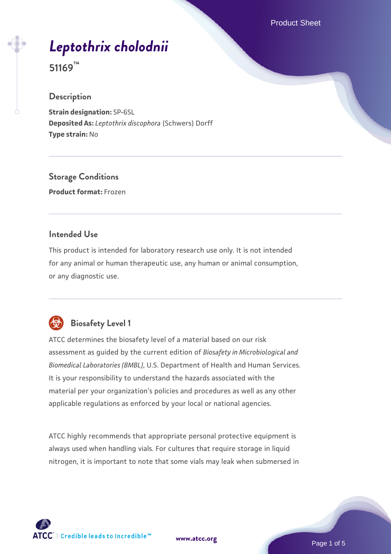Product Sheet

# *[Leptothrix cholodnii](https://www.atcc.org/products/51169)*

**51169™**

#### **Description**

**Strain designation:** SP-6SL **Deposited As:** *Leptothrix discophora* (Schwers) Dorff **Type strain:** No

**Storage Conditions Product format:** Frozen

#### **Intended Use**

This product is intended for laboratory research use only. It is not intended for any animal or human therapeutic use, any human or animal consumption, or any diagnostic use.



## **Biosafety Level 1**

ATCC determines the biosafety level of a material based on our risk assessment as guided by the current edition of *Biosafety in Microbiological and Biomedical Laboratories (BMBL)*, U.S. Department of Health and Human Services. It is your responsibility to understand the hazards associated with the material per your organization's policies and procedures as well as any other applicable regulations as enforced by your local or national agencies.

ATCC highly recommends that appropriate personal protective equipment is always used when handling vials. For cultures that require storage in liquid nitrogen, it is important to note that some vials may leak when submersed in

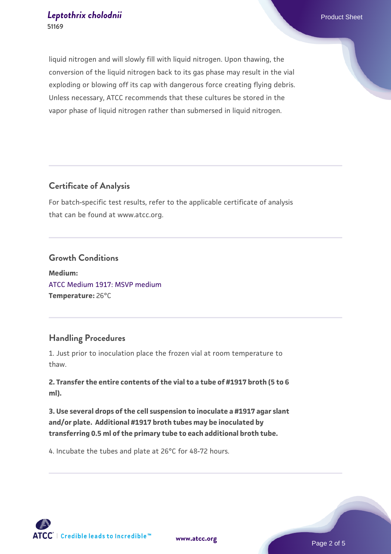liquid nitrogen and will slowly fill with liquid nitrogen. Upon thawing, the conversion of the liquid nitrogen back to its gas phase may result in the vial exploding or blowing off its cap with dangerous force creating flying debris. Unless necessary, ATCC recommends that these cultures be stored in the vapor phase of liquid nitrogen rather than submersed in liquid nitrogen.

#### **Certificate of Analysis**

For batch-specific test results, refer to the applicable certificate of analysis that can be found at www.atcc.org.

#### **Growth Conditions**

**Medium:**  [ATCC Medium 1917: MSVP medium](https://www.atcc.org/-/media/product-assets/documents/microbial-media-formulations/atcc-medium-1917.pdf?rev=1ccda9a9d99f41ec908fa8bb87ae298b) **Temperature:** 26°C

## **Handling Procedures**

1. Just prior to inoculation place the frozen vial at room temperature to thaw.

**2. Transfer the entire contents of the vial to a tube of #1917 broth (5 to 6 ml).**

**3. Use several drops of the cell suspension to inoculate a #1917 agar slant and/or plate. Additional #1917 broth tubes may be inoculated by transferring 0.5 ml of the primary tube to each additional broth tube.** 

4. Incubate the tubes and plate at 26°C for 48-72 hours.

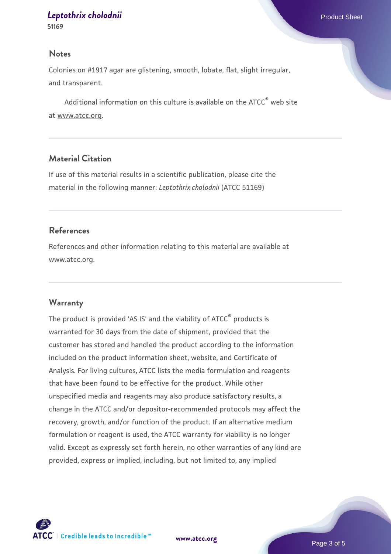## *[Leptothrix cholodnii](https://www.atcc.org/products/51169)* Product Sheet

#### **Notes**

Colonies on #1917 agar are glistening, smooth, lobate, flat, slight irregular, and transparent.

Additional information on this culture is available on the ATCC<sup>®</sup> web site at www.atcc.org.

#### **Material Citation**

If use of this material results in a scientific publication, please cite the material in the following manner: *Leptothrix cholodnii* (ATCC 51169)

#### **References**

References and other information relating to this material are available at www.atcc.org.

#### **Warranty**

The product is provided 'AS IS' and the viability of ATCC® products is warranted for 30 days from the date of shipment, provided that the customer has stored and handled the product according to the information included on the product information sheet, website, and Certificate of Analysis. For living cultures, ATCC lists the media formulation and reagents that have been found to be effective for the product. While other unspecified media and reagents may also produce satisfactory results, a change in the ATCC and/or depositor-recommended protocols may affect the recovery, growth, and/or function of the product. If an alternative medium formulation or reagent is used, the ATCC warranty for viability is no longer valid. Except as expressly set forth herein, no other warranties of any kind are provided, express or implied, including, but not limited to, any implied



**[www.atcc.org](http://www.atcc.org)**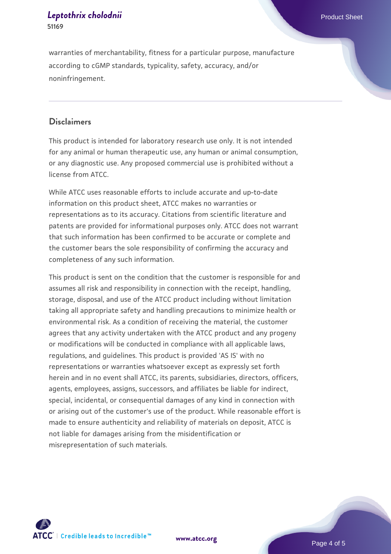#### *[Leptothrix cholodnii](https://www.atcc.org/products/51169)* Product Sheet **51169**

#### **Disclaimers**

This product is intended for laboratory research use only. It is not intended for any animal or human therapeutic use, any human or animal consumption, or any diagnostic use. Any proposed commercial use is prohibited without a license from ATCC.

While ATCC uses reasonable efforts to include accurate and up-to-date information on this product sheet, ATCC makes no warranties or representations as to its accuracy. Citations from scientific literature and patents are provided for informational purposes only. ATCC does not warrant that such information has been confirmed to be accurate or complete and the customer bears the sole responsibility of confirming the accuracy and completeness of any such information.

This product is sent on the condition that the customer is responsible for and assumes all risk and responsibility in connection with the receipt, handling, storage, disposal, and use of the ATCC product including without limitation taking all appropriate safety and handling precautions to minimize health or environmental risk. As a condition of receiving the material, the customer agrees that any activity undertaken with the ATCC product and any progeny or modifications will be conducted in compliance with all applicable laws, regulations, and guidelines. This product is provided 'AS IS' with no representations or warranties whatsoever except as expressly set forth herein and in no event shall ATCC, its parents, subsidiaries, directors, officers, agents, employees, assigns, successors, and affiliates be liable for indirect, special, incidental, or consequential damages of any kind in connection with or arising out of the customer's use of the product. While reasonable effort is made to ensure authenticity and reliability of materials on deposit, ATCC is not liable for damages arising from the misidentification or misrepresentation of such materials.



**[www.atcc.org](http://www.atcc.org)**

Page 4 of 5